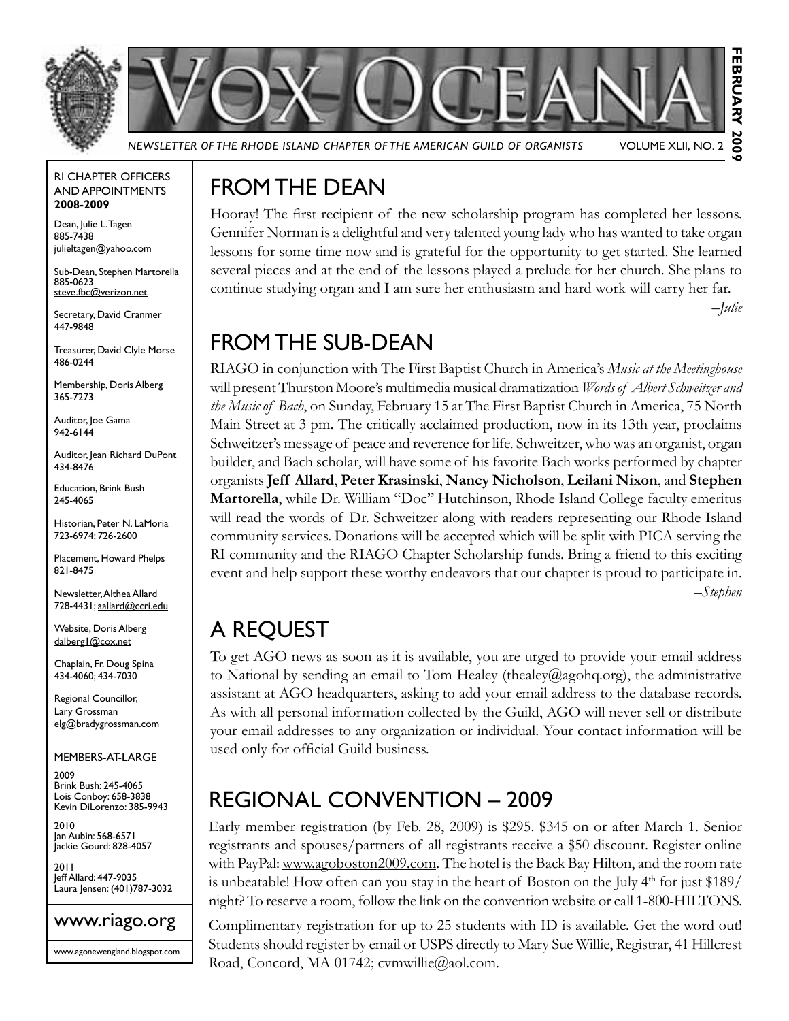



*Newsletter of the Rhode Island Chapter of the American Guild of Organists* Volume XLII, No. 2

#### RI Chapter Officers and Appointments **2008-2009**

Dean, Julie L. Tagen 885-7438 julieltagen@yahoo.com

Sub-Dean, Stephen Martorella 885-0623 steve.fbc@verizon.net

Secretary, David Cranmer 447-9848

Treasurer, David Clyle Morse 486-0244

Membership, Doris Alberg 365-7273

Auditor, Joe Gama 942-6144

Auditor, Jean Richard DuPont 434-8476

Education, Brink Bush 245-4065

Historian, Peter N. LaMoria 723-6974; 726-2600

Placement, Howard Phelps 821-8475

Newsletter, Althea Allard 728-4431; aallard@ccri.edu

Website, Doris Alberg dalberg1@cox.net

Chaplain, Fr. Doug Spina 434-4060; 434-7030

Regional Councillor, Lary Grossman elg@bradygrossman.com

Members-at-Large

2009 Brink Bush: 245-4065 Lois Conboy: 658-3838 Kevin DiLorenzo: 385-9943

2010 Jan Aubin: 568-6571 Jackie Gourd: 828-4057

2011 Jeff Allard: 447-9035 Laura Jensen: (401)787-3032

#### www.riago.org

www.agonewengland.blogspot.com

## From the Dean

Hooray! The first recipient of the new scholarship program has completed her lessons. Gennifer Norman is a delightful and very talented young lady who has wanted to take organ lessons for some time now and is grateful for the opportunity to get started. She learned several pieces and at the end of the lessons played a prelude for her church. She plans to continue studying organ and I am sure her enthusiasm and hard work will carry her far.

*–Julie*

### From the Sub-Dean

RIAGO in conjunction with The First Baptist Church in America's *Music at the Meetinghouse* will present Thurston Moore's multimedia musical dramatization *Words of Albert Schweitzer and the Music of Bach*, on Sunday, February 15 at The First Baptist Church in America, 75 North Main Street at 3 pm. The critically acclaimed production, now in its 13th year, proclaims Schweitzer's message of peace and reverence for life. Schweitzer, who was an organist, organ builder, and Bach scholar, will have some of his favorite Bach works performed by chapter organists **Jeff Allard**, **Peter Krasinski**, **Nancy Nicholson**, **Leilani Nixon**, and **Stephen Martorella**, while Dr. William "Doc" Hutchinson, Rhode Island College faculty emeritus will read the words of Dr. Schweitzer along with readers representing our Rhode Island community services. Donations will be accepted which will be split with PICA serving the RI community and the RIAGO Chapter Scholarship funds. Bring a friend to this exciting event and help support these worthy endeavors that our chapter is proud to participate in. *–Stephen*

### A Request

To get AGO news as soon as it is available, you are urged to provide your email address to National by sending an email to Tom Healey (thealey @agohq.org), the administrative assistant at AGO headquarters, asking to add your email address to the database records. As with all personal information collected by the Guild, AGO will never sell or distribute your email addresses to any organization or individual. Your contact information will be used only for official Guild business.

### Regional Convention – 2009

Early member registration (by Feb. 28, 2009) is \$295. \$345 on or after March 1. Senior registrants and spouses/partners of all registrants receive a \$50 discount. Register online with PayPal: www.agoboston2009.com. The hotel is the Back Bay Hilton, and the room rate is unbeatable! How often can you stay in the heart of Boston on the July  $4<sup>th</sup>$  for just \$189/ night? To reserve a room, follow the link on the convention website or call 1-800-HILTONS.

Complimentary registration for up to 25 students with ID is available. Get the word out! Students should register by email or USPS directly to Mary Sue Willie, Registrar, 41 Hillcrest Road, Concord, MA 01742; cvmwillie@aol.com.